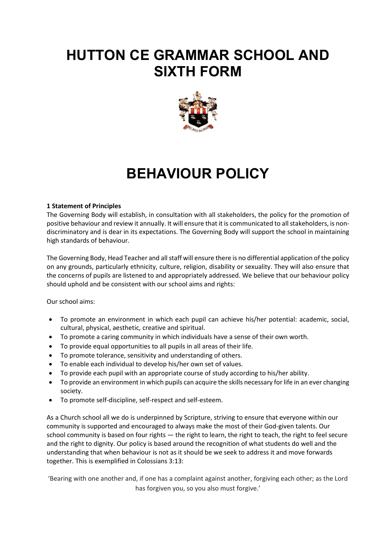## **HUTTON CE GRAMMAR SCHOOL AND SIXTH FORM**



# **BEHAVIOUR POLICY**

## **1 Statement of Principles**

The Governing Body will establish, in consultation with all stakeholders, the policy for the promotion of positive behaviour and review it annually. It will ensure that it is communicated to all stakeholders, is nondiscriminatory and is dear in its expectations. The Governing Body will support the school in maintaining high standards of behaviour.

The Governing Body, Head Teacher and all staff will ensure there is no differential application of the policy on any grounds, particularly ethnicity, culture, religion, disability or sexuality. They will also ensure that the concerns of pupils are listened to and appropriately addressed. We believe that our behaviour policy should uphold and be consistent with our school aims and rights:

Our school aims:

- To promote an environment in which each pupil can achieve his/her potential: academic, social, cultural, physical, aesthetic, creative and spiritual.
- To promote a caring community in which individuals have a sense of their own worth.
- To provide equal opportunities to all pupils in all areas of their life.
- To promote tolerance, sensitivity and understanding of others.
- To enable each individual to develop his/her own set of values.
- To provide each pupil with an appropriate course of study according to his/her ability.
- To provide an environment in which pupils can acquire the skills necessary for life in an ever changing society.
- To promote self-discipline, self-respect and self-esteem.

As a Church school all we do is underpinned by Scripture, striving to ensure that everyone within our community is supported and encouraged to always make the most of their God-given talents. Our school community is based on four rights - the right to learn, the right to teach, the right to feel secure and the right to dignity. Our policy is based around the recognition of what students do well and the understanding that when behaviour is not as it should be we seek to address it and move forwards together. This is exemplified in Colossians 3:13:

'Bearing with one another and, if one has a complaint against another, forgiving each other; as the Lord has forgiven you, so you also must forgive.'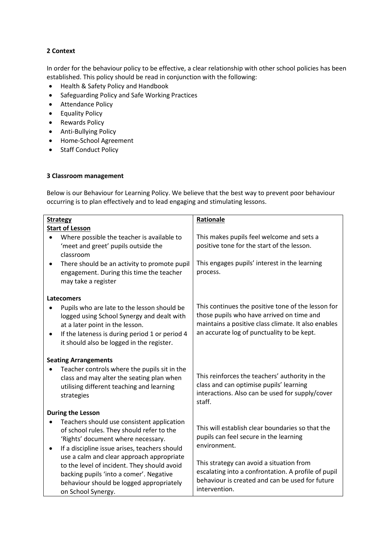## **2 Context**

In order for the behaviour policy to be effective, a clear relationship with other school policies has been established. This policy should be read in conjunction with the following:

- Health & Safety Policy and Handbook
- Safeguarding Policy and Safe Working Practices
- Attendance Policy
- Equality Policy
- Rewards Policy
- Anti-Bullying Policy
- Home-School Agreement
- Staff Conduct Policy

## **3 Classroom management**

Below is our Behaviour for Learning Policy. We believe that the best way to prevent poor behaviour occurring is to plan effectively and to lead engaging and stimulating lessons.

| <b>Strategy</b>                                           | Rationale                                                                                       |  |
|-----------------------------------------------------------|-------------------------------------------------------------------------------------------------|--|
| <b>Start of Lesson</b>                                    |                                                                                                 |  |
| Where possible the teacher is available to                | This makes pupils feel welcome and sets a                                                       |  |
| 'meet and greet' pupils outside the                       | positive tone for the start of the lesson.                                                      |  |
| classroom                                                 |                                                                                                 |  |
| There should be an activity to promote pupil<br>$\bullet$ | This engages pupils' interest in the learning                                                   |  |
| engagement. During this time the teacher                  | process.                                                                                        |  |
| may take a register                                       |                                                                                                 |  |
| <b>Latecomers</b>                                         |                                                                                                 |  |
| Pupils who are late to the lesson should be               | This continues the positive tone of the lesson for                                              |  |
| logged using School Synergy and dealt with                | those pupils who have arrived on time and                                                       |  |
| at a later point in the lesson.                           | maintains a positive class climate. It also enables                                             |  |
| If the lateness is during period 1 or period 4            | an accurate log of punctuality to be kept.                                                      |  |
| it should also be logged in the register.                 |                                                                                                 |  |
|                                                           |                                                                                                 |  |
| <b>Seating Arrangements</b>                               |                                                                                                 |  |
| Teacher controls where the pupils sit in the              |                                                                                                 |  |
| class and may alter the seating plan when                 | This reinforces the teachers' authority in the                                                  |  |
| utilising different teaching and learning                 | class and can optimise pupils' learning                                                         |  |
| strategies                                                | interactions. Also can be used for supply/cover                                                 |  |
|                                                           | staff.                                                                                          |  |
| <b>During the Lesson</b>                                  |                                                                                                 |  |
| Teachers should use consistent application                |                                                                                                 |  |
| of school rules. They should refer to the                 | This will establish clear boundaries so that the                                                |  |
| 'Rights' document where necessary.                        | pupils can feel secure in the learning                                                          |  |
| If a discipline issue arises, teachers should<br>٠        | environment.                                                                                    |  |
| use a calm and clear approach appropriate                 |                                                                                                 |  |
| to the level of incident. They should avoid               | This strategy can avoid a situation from<br>escalating into a confrontation. A profile of pupil |  |
| backing pupils 'into a comer'. Negative                   |                                                                                                 |  |
| behaviour should be logged appropriately                  | behaviour is created and can be used for future                                                 |  |
| on School Synergy.                                        | intervention.                                                                                   |  |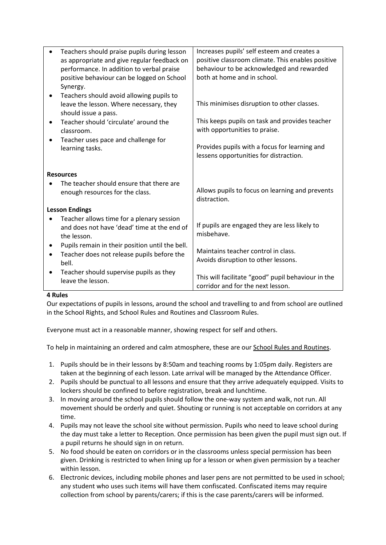| Increases pupils' self esteem and creates a<br>positive classroom climate. This enables positive<br>behaviour to be acknowledged and rewarded |  |
|-----------------------------------------------------------------------------------------------------------------------------------------------|--|
| This minimises disruption to other classes.                                                                                                   |  |
| This keeps pupils on task and provides teacher<br>with opportunities to praise.                                                               |  |
| Provides pupils with a focus for learning and<br>lessens opportunities for distraction.                                                       |  |
|                                                                                                                                               |  |
| Allows pupils to focus on learning and prevents                                                                                               |  |
|                                                                                                                                               |  |
| If pupils are engaged they are less likely to                                                                                                 |  |
| Maintains teacher control in class.<br>Avoids disruption to other lessons.                                                                    |  |
| This will facilitate "good" pupil behaviour in the                                                                                            |  |
|                                                                                                                                               |  |

#### **4 Rules**

Our expectations of pupils in lessons, around the school and travelling to and from school are outlined in the School Rights, and School Rules and Routines and Classroom Rules.

Everyone must act in a reasonable manner, showing respect for self and others.

To help in maintaining an ordered and calm atmosphere, these are our School Rules and Routines.

- 1. Pupils should be in their lessons by 8:50am and teaching rooms by 1:05pm daily. Registers are taken at the beginning of each lesson. Late arrival will be managed by the Attendance Officer.
- 2. Pupils should be punctual to all lessons and ensure that they arrive adequately equipped. Visits to lockers should be confined to before registration, break and lunchtime.
- 3. In moving around the school pupils should follow the one-way system and walk, not run. All movement should be orderly and quiet. Shouting or running is not acceptable on corridors at any time.
- 4. Pupils may not leave the school site without permission. Pupils who need to leave school during the day must take a letter to Reception. Once permission has been given the pupil must sign out. If a pupil returns he should sign in on return.
- 5. No food should be eaten on corridors or in the classrooms unless special permission has been given. Drinking is restricted to when lining up for a lesson or when given permission by a teacher within lesson.
- 6. Electronic devices, including mobile phones and laser pens are not permitted to be used in school; any student who uses such items will have them confiscated. Confiscated items may require collection from school by parents/carers; if this is the case parents/carers will be informed.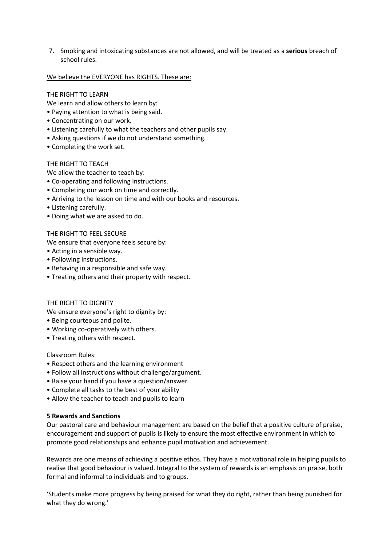7. Smoking and intoxicating substances are not allowed, and will be treated as a **serious** breach of school rules.

#### We believe the EVERYONE has RIGHTS. These are:

#### THE RIGHT TO LEARN

We learn and allow others to learn by:

- Paying attention to what is being said.
- Concentrating on our work.
- Listening carefully to what the teachers and other pupils say.
- Asking questions if we do not understand something.
- Completing the work set.

#### THE RIGHT TO TEACH

We allow the teacher to teach by:

- Co-operating and following instructions.
- Completing our work on time and correctly.
- Arriving to the lesson on time and with our books and resources.
- Listening carefully.
- Doing what we are asked to do.

#### THE RIGHT TO FEEL SECURE

We ensure that everyone feels secure by:

- Acting in a sensible way.
- Following instructions.
- Behaving in a responsible and safe way.
- Treating others and their property with respect.

#### THE RIGHT TO DIGNITY

We ensure everyone's right to dignity by:

- Being courteous and polite.
- Working co-operatively with others.
- Treating others with respect.

#### Classroom Rules:

- Respect others and the learning environment
- Follow all instructions without challenge/argument.
- Raise your hand if you have a question/answer
- Complete all tasks to the best of your ability
- Allow the teacher to teach and pupils to learn

#### **5 Rewards and Sanctions**

Our pastoral care and behaviour management are based on the belief that a positive culture of praise, encouragement and support of pupils is likely to ensure the most effective environment in which to promote good relationships and enhance pupil motivation and achievement.

Rewards are one means of achieving a positive ethos. They have a motivational role in helping pupils to realise that good behaviour is valued. Integral to the system of rewards is an emphasis on praise, both formal and informal to individuals and to groups.

'Students make more progress by being praised for what they do right, rather than being punished for what they do wrong.'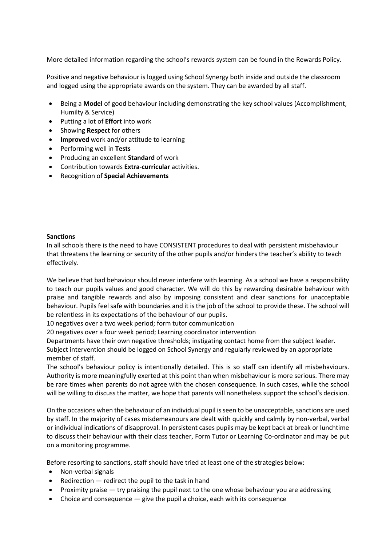More detailed information regarding the school's rewards system can be found in the Rewards Policy.

Positive and negative behaviour is logged using School Synergy both inside and outside the classroom and logged using the appropriate awards on the system. They can be awarded by all staff.

- Being a **Model** of good behaviour including demonstrating the key school values (Accomplishment, Humilty & Service)
- Putting a lot of **Effort** into work
- Showing **Respect** for others
- **Improved** work and/or attitude to learning
- Performing well in **Tests**
- Producing an excellent **Standard** of work
- Contribution towards **Extra-curricular** activities.
- Recognition of **Special Achievements**

#### **Sanctions**

In all schools there is the need to have CONSISTENT procedures to deal with persistent misbehaviour that threatens the learning or security of the other pupils and/or hinders the teacher's ability to teach effectively.

We believe that bad behaviour should never interfere with learning. As a school we have a responsibility to teach our pupils values and good character. We will do this by rewarding desirable behaviour with praise and tangible rewards and also by imposing consistent and clear sanctions for unacceptable behaviour. Pupils feel safe with boundaries and it is the job of the school to provide these. The school will be relentless in its expectations of the behaviour of our pupils.

10 negatives over a two week period; form tutor communication

20 negatives over a four week period; Learning coordinator intervention

Departments have their own negative thresholds; instigating contact home from the subject leader. Subject intervention should be logged on School Synergy and regularly reviewed by an appropriate member of staff.

The school's behaviour policy is intentionally detailed. This is so staff can identify all misbehaviours. Authority is more meaningfully exerted at this point than when misbehaviour is more serious. There may be rare times when parents do not agree with the chosen consequence. In such cases, while the school will be willing to discuss the matter, we hope that parents will nonetheless support the school's decision.

On the occasions when the behaviour of an individual pupil is seen to be unacceptable, sanctions are used by staff. In the majority of cases misdemeanours are dealt with quickly and calmly by non-verbal, verbal or individual indications of disapproval. In persistent cases pupils may be kept back at break or lunchtime to discuss their behaviour with their class teacher, Form Tutor or Learning Co-ordinator and may be put on a monitoring programme.

Before resorting to sanctions, staff should have tried at least one of the strategies below:

- Non-verbal signals
- Redirection redirect the pupil to the task in hand
- Proximity praise try praising the pupil next to the one whose behaviour you are addressing
- Choice and consequence give the pupil a choice, each with its consequence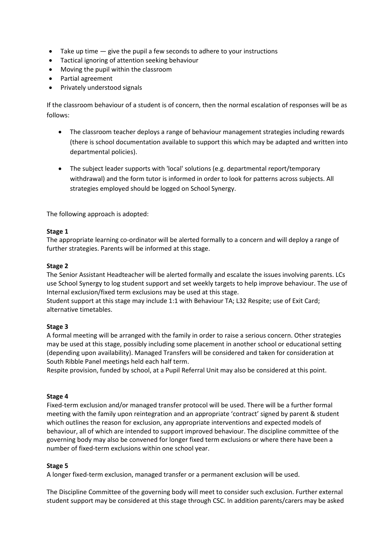- Take up time  $-$  give the pupil a few seconds to adhere to your instructions
- Tactical ignoring of attention seeking behaviour
- Moving the pupil within the classroom
- Partial agreement
- Privately understood signals

If the classroom behaviour of a student is of concern, then the normal escalation of responses will be as follows:

- The classroom teacher deploys a range of behaviour management strategies including rewards (there is school documentation available to support this which may be adapted and written into departmental policies).
- The subject leader supports with 'local' solutions (e.g. departmental report/temporary withdrawal) and the form tutor is informed in order to look for patterns across subjects. All strategies employed should be logged on School Synergy.

The following approach is adopted:

## **Stage 1**

The appropriate learning co-ordinator will be alerted formally to a concern and will deploy a range of further strategies. Parents will be informed at this stage.

## **Stage 2**

The Senior Assistant Headteacher will be alerted formally and escalate the issues involving parents. LCs use School Synergy to log student support and set weekly targets to help improve behaviour. The use of Internal exclusion/fixed term exclusions may be used at this stage.

Student support at this stage may include 1:1 with Behaviour TA; L32 Respite; use of Exit Card; alternative timetables.

## **Stage 3**

A formal meeting will be arranged with the family in order to raise a serious concern. Other strategies may be used at this stage, possibly including some placement in another school or educational setting (depending upon availability). Managed Transfers will be considered and taken for consideration at South Ribble Panel meetings held each half term.

Respite provision, funded by school, at a Pupil Referral Unit may also be considered at this point.

#### **Stage 4**

Fixed-term exclusion and/or managed transfer protocol will be used. There will be a further formal meeting with the family upon reintegration and an appropriate 'contract' signed by parent & student which outlines the reason for exclusion, any appropriate interventions and expected models of behaviour, all of which are intended to support improved behaviour. The discipline committee of the governing body may also be convened for longer fixed term exclusions or where there have been a number of fixed-term exclusions within one school year.

## **Stage 5**

A longer fixed-term exclusion, managed transfer or a permanent exclusion will be used.

The Discipline Committee of the governing body will meet to consider such exclusion. Further external student support may be considered at this stage through CSC. In addition parents/carers may be asked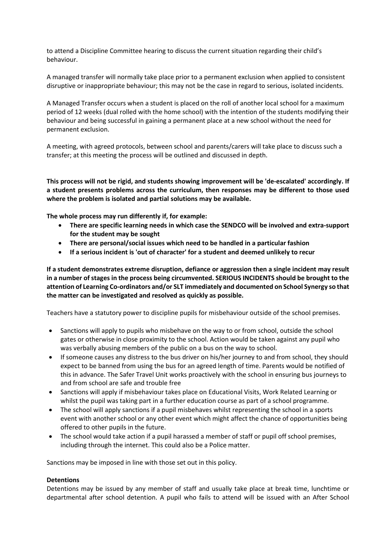to attend a Discipline Committee hearing to discuss the current situation regarding their child's behaviour.

A managed transfer will normally take place prior to a permanent exclusion when applied to consistent disruptive or inappropriate behaviour; this may not be the case in regard to serious, isolated incidents.

A Managed Transfer occurs when a student is placed on the roll of another local school for a maximum period of 12 weeks (dual rolled with the home school) with the intention of the students modifying their behaviour and being successful in gaining a permanent place at a new school without the need for permanent exclusion.

A meeting, with agreed protocols, between school and parents/carers will take place to discuss such a transfer; at this meeting the process will be outlined and discussed in depth.

**This process will not be rigid, and students showing improvement will be 'de-escalated' accordingly. If a student presents problems across the curriculum, then responses may be different to those used where the problem is isolated and partial solutions may be available.**

**The whole process may run differently if, for example:**

- **There are specific learning needs in which case the SENDCO will be involved and extra-support for the student may be sought**
- **There are personal/social issues which need to be handled in a particular fashion**
- **If a serious incident is 'out of character' for a student and deemed unlikely to recur**

**If a student demonstrates extreme disruption, defiance or aggression then a single incident may result in a number of stages in the process being circumvented. SERIOUS INCIDENTS should be brought to the attention of Learning Co-ordinators and/or SLT immediately and documented on School Synergy so that the matter can be investigated and resolved as quickly as possible.**

Teachers have a statutory power to discipline pupils for misbehaviour outside of the school premises.

- Sanctions will apply to pupils who misbehave on the way to or from school, outside the school gates or otherwise in close proximity to the school. Action would be taken against any pupil who was verbally abusing members of the public on a bus on the way to school.
- If someone causes any distress to the bus driver on his/her journey to and from school, they should expect to be banned from using the bus for an agreed length of time. Parents would be notified of this in advance. The Safer Travel Unit works proactively with the school in ensuring bus journeys to and from school are safe and trouble free
- Sanctions will apply if misbehaviour takes place on Educational Visits, Work Related Learning or whilst the pupil was taking part in a further education course as part of a school programme.
- The school will apply sanctions if a pupil misbehaves whilst representing the school in a sports event with another school or any other event which might affect the chance of opportunities being offered to other pupils in the future.
- The school would take action if a pupil harassed a member of staff or pupil off school premises, including through the internet. This could also be a Police matter.

Sanctions may be imposed in line with those set out in this policy.

#### **Detentions**

Detentions may be issued by any member of staff and usually take place at break time, lunchtime or departmental after school detention. A pupil who fails to attend will be issued with an After School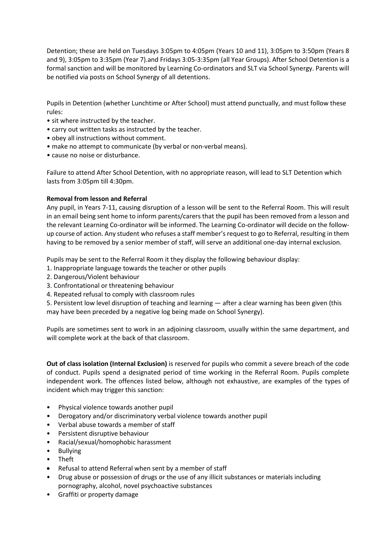Detention; these are held on Tuesdays 3:05pm to 4:05pm (Years 10 and 11), 3:05pm to 3:50pm (Years 8 and 9), 3:05pm to 3:35pm (Year 7).and Fridays 3:05-3:35pm (all Year Groups). After School Detention is a formal sanction and will be monitored by Learning Co-ordinators and SLT via School Synergy. Parents will be notified via posts on School Synergy of all detentions.

Pupils in Detention (whether Lunchtime or After School) must attend punctually, and must follow these rules:

- sit where instructed by the teacher.
- carry out written tasks as instructed by the teacher.
- obey all instructions without comment.
- make no attempt to communicate (by verbal or non-verbal means).
- cause no noise or disturbance.

Failure to attend After School Detention, with no appropriate reason, will lead to SLT Detention which lasts from 3:05pm till 4:30pm.

## **Removal from lesson and Referral**

Any pupil, in Years 7-11, causing disruption of a lesson will be sent to the Referral Room. This will result in an email being sent home to inform parents/carers that the pupil has been removed from a lesson and the relevant Learning Co-ordinator will be informed. The Learning Co-ordinator will decide on the followup course of action. Any student who refuses a staff member's request to go to Referral, resulting in them having to be removed by a senior member of staff, will serve an additional one-day internal exclusion.

Pupils may be sent to the Referral Room it they display the following behaviour display:

- 1. Inappropriate language towards the teacher or other pupils
- 2. Dangerous/Violent behaviour
- 3. Confrontational or threatening behaviour
- 4. Repeated refusal to comply with classroom rules

5. Persistent low level disruption of teaching and learning — after a clear warning has been given (this may have been preceded by a negative log being made on School Synergy).

Pupils are sometimes sent to work in an adjoining classroom, usually within the same department, and will complete work at the back of that classroom.

**Out of class isolation (Internal Exclusion)** is reserved for pupils who commit a severe breach of the code of conduct. Pupils spend a designated period of time working in the Referral Room. Pupils complete independent work. The offences listed below, although not exhaustive, are examples of the types of incident which may trigger this sanction:

- Physical violence towards another pupil
- Derogatory and/or discriminatory verbal violence towards another pupil
- Verbal abuse towards a member of staff
- Persistent disruptive behaviour
- Racial/sexual/homophobic harassment
- Bullying
- Theft
- Refusal to attend Referral when sent by a member of staff
- Drug abuse or possession of drugs or the use of any illicit substances or materials including pornography, alcohol, novel psychoactive substances
- Graffiti or property damage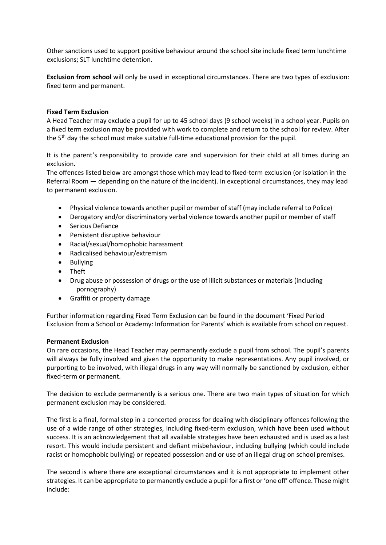Other sanctions used to support positive behaviour around the school site include fixed term lunchtime exclusions; SLT lunchtime detention.

**Exclusion from school** will only be used in exceptional circumstances. There are two types of exclusion: fixed term and permanent.

#### **Fixed Term Exclusion**

A Head Teacher may exclude a pupil for up to 45 school days (9 school weeks) in a school year. Pupils on a fixed term exclusion may be provided with work to complete and return to the school for review. After the 5<sup>th</sup> day the school must make suitable full-time educational provision for the pupil.

It is the parent's responsibility to provide care and supervision for their child at all times during an exclusion.

The offences listed below are amongst those which may lead to fixed-term exclusion (or isolation in the Referral Room — depending on the nature of the incident). In exceptional circumstances, they may lead to permanent exclusion.

- Physical violence towards another pupil or member of staff (may include referral to Police)
- Derogatory and/or discriminatory verbal violence towards another pupil or member of staff
- Serious Defiance
- Persistent disruptive behaviour
- Racial/sexual/homophobic harassment
- Radicalised behaviour/extremism
- Bullying
- Theft
- Drug abuse or possession of drugs or the use of illicit substances or materials (including pornography)
- Graffiti or property damage

Further information regarding Fixed Term Exclusion can be found in the document 'Fixed Period Exclusion from a School or Academy: Information for Parents' which is available from school on request.

#### **Permanent Exclusion**

On rare occasions, the Head Teacher may permanently exclude a pupil from school. The pupil's parents will always be fully involved and given the opportunity to make representations. Any pupil involved, or purporting to be involved, with illegal drugs in any way will normally be sanctioned by exclusion, either fixed-term or permanent.

The decision to exclude permanently is a serious one. There are two main types of situation for which permanent exclusion may be considered.

The first is a final, formal step in a concerted process for dealing with disciplinary offences following the use of a wide range of other strategies, including fixed-term exclusion, which have been used without success. It is an acknowledgement that all available strategies have been exhausted and is used as a last resort. This would include persistent and defiant misbehaviour, including bullying (which could include racist or homophobic bullying) or repeated possession and or use of an illegal drug on school premises.

The second is where there are exceptional circumstances and it is not appropriate to implement other strategies. It can be appropriate to permanently exclude a pupil for a first or 'one off' offence. These might include: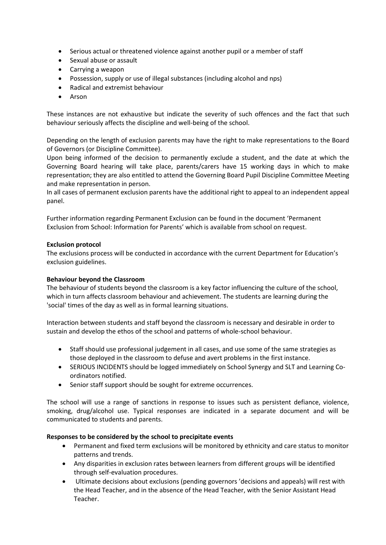- Serious actual or threatened violence against another pupil or a member of staff
- Sexual abuse or assault
- Carrying a weapon
- Possession, supply or use of illegal substances (including alcohol and nps)
- Radical and extremist behaviour
- Arson

These instances are not exhaustive but indicate the severity of such offences and the fact that such behaviour seriously affects the discipline and well-being of the school.

Depending on the length of exclusion parents may have the right to make representations to the Board of Governors (or Discipline Committee).

Upon being informed of the decision to permanently exclude a student, and the date at which the Governing Board hearing will take place, parents/carers have 15 working days in which to make representation; they are also entitled to attend the Governing Board Pupil Discipline Committee Meeting and make representation in person.

In all cases of permanent exclusion parents have the additional right to appeal to an independent appeal panel.

Further information regarding Permanent Exclusion can be found in the document 'Permanent Exclusion from School: Information for Parents' which is available from school on request.

## **Exclusion protocol**

The exclusions process will be conducted in accordance with the current Department for Education's exclusion guidelines.

## **Behaviour beyond the Classroom**

The behaviour of students beyond the classroom is a key factor influencing the culture of the school, which in turn affects classroom behaviour and achievement. The students are learning during the 'social' times of the day as well as in formal learning situations.

Interaction between students and staff beyond the classroom is necessary and desirable in order to sustain and develop the ethos of the school and patterns of whole-school behaviour.

- Staff should use professional judgement in all cases, and use some of the same strategies as those deployed in the classroom to defuse and avert problems in the first instance.
- SERIOUS INCIDENTS should be logged immediately on School Synergy and SLT and Learning Coordinators notified.
- Senior staff support should be sought for extreme occurrences.

The school will use a range of sanctions in response to issues such as persistent defiance, violence, smoking, drug/alcohol use. Typical responses are indicated in a separate document and will be communicated to students and parents.

## **Responses to be considered by the school to precipitate events**

- Permanent and fixed term exclusions will be monitored by ethnicity and care status to monitor patterns and trends.
- Any disparities in exclusion rates between learners from different groups will be identified through self-evaluation procedures.
- Ultimate decisions about exclusions (pending governors 'decisions and appeals) will rest with the Head Teacher, and in the absence of the Head Teacher, with the Senior Assistant Head Teacher.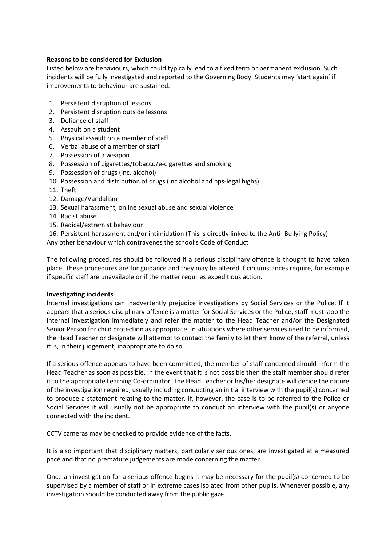#### **Reasons to be considered for Exclusion**

Listed below are behaviours, which could typically lead to a fixed term or permanent exclusion. Such incidents will be fully investigated and reported to the Governing Body. Students may 'start again' if improvements to behaviour are sustained.

- 1. Persistent disruption of lessons
- 2. Persistent disruption outside lessons
- 3. Defiance of staff
- 4. Assault on a student
- 5. Physical assault on a member of staff
- 6. Verbal abuse of a member of staff
- 7. Possession of a weapon
- 8. Possession of cigarettes/tobacco/e-cigarettes and smoking
- 9. Possession of drugs (inc. alcohol)
- 10. Possession and distribution of drugs (inc alcohol and nps-legal highs)
- 11. Theft
- 12. Damage/Vandalism
- 13. Sexual harassment, online sexual abuse and sexual violence
- 14. Racist abuse
- 15. Radical/extremist behaviour
- 16. Persistent harassment and/or intimidation (This is directly linked to the Anti- Bullying Policy)

Any other behaviour which contravenes the school's Code of Conduct

The following procedures should be followed if a serious disciplinary offence is thought to have taken place. These procedures are for guidance and they may be altered if circumstances require, for example if specific staff are unavailable or if the matter requires expeditious action.

#### **Investigating incidents**

Internal investigations can inadvertently prejudice investigations by Social Services or the Police. If it appears that a serious disciplinary offence is a matter for Social Services or the Police, staff must stop the internal investigation immediately and refer the matter to the Head Teacher and/or the Designated Senior Person for child protection as appropriate. In situations where other services need to be informed, the Head Teacher or designate will attempt to contact the family to let them know of the referral, unless it is, in their judgement, inappropriate to do so.

If a serious offence appears to have been committed, the member of staff concerned should inform the Head Teacher as soon as possible. In the event that it is not possible then the staff member should refer it to the appropriate Learning Co-ordinator. The Head Teacher or his/her designate will decide the nature of the investigation required, usually including conducting an initial interview with the pupil(s) concerned to produce a statement relating to the matter. If, however, the case is to be referred to the Police or Social Services it will usually not be appropriate to conduct an interview with the pupil(s) or anyone connected with the incident.

CCTV cameras may be checked to provide evidence of the facts.

It is also important that disciplinary matters, particularly serious ones, are investigated at a measured pace and that no premature judgements are made concerning the matter.

Once an investigation for a serious offence begins it may be necessary for the pupil(s) concerned to be supervised by a member of staff or in extreme cases isolated from other pupils. Whenever possible, any investigation should be conducted away from the public gaze.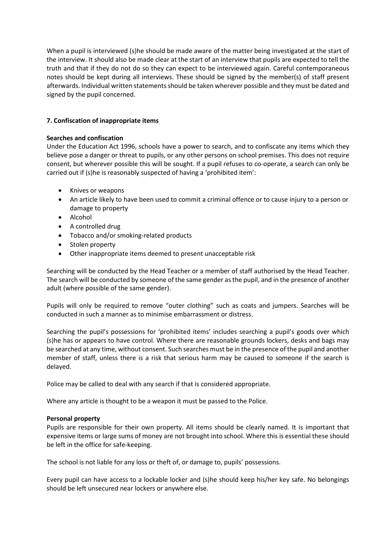When a pupil is interviewed (s)he should be made aware of the matter being investigated at the start of the interview. It should also be made clear at the start of an interview that pupils are expected to tell the truth and that if they do not do so they can expect to be interviewed again. Careful contemporaneous notes should be kept during all interviews. These should be signed by the member(s) of staff present afterwards. Individual written statements should be taken wherever possible and they must be dated and signed by the pupil concerned.

## **7. Confiscation of inappropriate items**

#### **Searches and confiscation**

Under the Education Act 1996, schools have a power to search, and to confiscate any items which they believe pose a danger or threat to pupils, or any other persons on school premises. This does not require consent, but wherever possible this will be sought. If a pupil refuses to co-operate, a search can only be carried out if (s)he is reasonably suspected of having a 'prohibited item':

- Knives or weapons
- An article likely to have been used to commit a criminal offence or to cause injury to a person or damage to property
- Alcohol
- A controlled drug
- Tobacco and/or smoking-related products
- Stolen property
- Other inappropriate items deemed to present unacceptable risk

Searching will be conducted by the Head Teacher or a member of staff authorised by the Head Teacher. The search will be conducted by someone of the same gender as the pupil, and in the presence of another adult (where possible of the same gender).

Pupils will only be required to remove "outer clothing" such as coats and jumpers. Searches will be conducted in such a manner as to minimise embarrassment or distress.

Searching the pupil's possessions for 'prohibited items' includes searching a pupil's goods over which (s)he has or appears to have control. Where there are reasonable grounds lockers, desks and bags may be searched at any time, without consent. Such searches must be in the presence of the pupil and another member of staff, unless there is a risk that serious harm may be caused to someone if the search is delayed.

Police may be called to deal with any search if that is considered appropriate.

Where any article is thought to be a weapon it must be passed to the Police.

#### **Personal property**

Pupils are responsible for their own property. All items should be clearly named. It is important that expensive items or large sums of money are not brought into school. Where this is essential these should be left in the office for safe-keeping.

The school is not liable for any loss or theft of, or damage to, pupils' possessions.

Every pupil can have access to a lockable locker and (s)he should keep his/her key safe. No belongings should be left unsecured near lockers or anywhere else.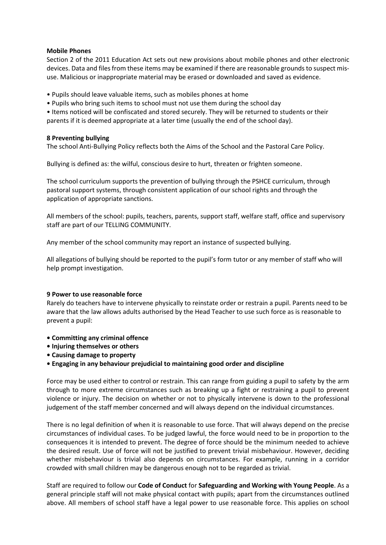#### **Mobile Phones**

Section 2 of the 2011 Education Act sets out new provisions about mobile phones and other electronic devices. Data and files from these items may be examined if there are reasonable grounds to suspect misuse. Malicious or inappropriate material may be erased or downloaded and saved as evidence.

- Pupils should leave valuable items, such as mobiles phones at home
- Pupils who bring such items to school must not use them during the school day
- Items noticed will be confiscated and stored securely. They will be returned to students or their parents if it is deemed appropriate at a later time (usually the end of the school day).

#### **8 Preventing bullying**

The school Anti-Bullying Policy reflects both the Aims of the School and the Pastoral Care Policy.

Bullying is defined as: the wilful, conscious desire to hurt, threaten or frighten someone.

The school curriculum supports the prevention of bullying through the PSHCE curriculum, through pastoral support systems, through consistent application of our school rights and through the application of appropriate sanctions.

All members of the school: pupils, teachers, parents, support staff, welfare staff, office and supervisory staff are part of our TELLING COMMUNITY.

Any member of the school community may report an instance of suspected bullying.

All allegations of bullying should be reported to the pupil's form tutor or any member of staff who will help prompt investigation.

#### **9 Power to use reasonable force**

Rarely do teachers have to intervene physically to reinstate order or restrain a pupil. Parents need to be aware that the law allows adults authorised by the Head Teacher to use such force as is reasonable to prevent a pupil:

- **Committing any criminal offence**
- **Injuring themselves or others**
- **Causing damage to property**
- **Engaging in any behaviour prejudicial to maintaining good order and discipline**

Force may be used either to control or restrain. This can range from guiding a pupil to safety by the arm through to more extreme circumstances such as breaking up a fight or restraining a pupil to prevent violence or injury. The decision on whether or not to physically intervene is down to the professional judgement of the staff member concerned and will always depend on the individual circumstances.

There is no legal definition of when it is reasonable to use force. That will always depend on the precise circumstances of individual cases. To be judged lawful, the force would need to be in proportion to the consequences it is intended to prevent. The degree of force should be the minimum needed to achieve the desired result. Use of force will not be justified to prevent trivial misbehaviour. However, deciding whether misbehaviour is trivial also depends on circumstances. For example, running in a corridor crowded with small children may be dangerous enough not to be regarded as trivial.

Staff are required to follow our **Code of Conduct** for **Safeguarding and Working with Young People**. As a general principle staff will not make physical contact with pupils; apart from the circumstances outlined above. All members of school staff have a legal power to use reasonable force. This applies on school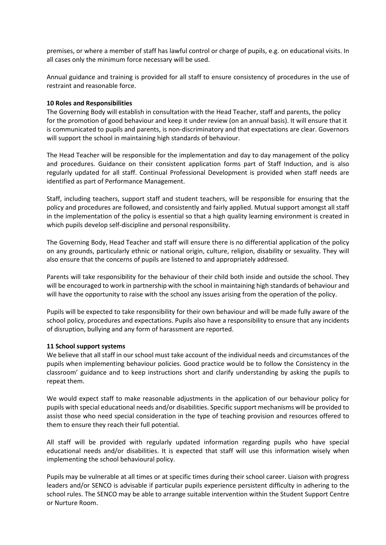premises, or where a member of staff has lawful control or charge of pupils, e.g. on educational visits. In all cases only the minimum force necessary will be used.

Annual guidance and training is provided for all staff to ensure consistency of procedures in the use of restraint and reasonable force.

#### **10 Roles and Responsibilities**

The Governing Body will establish in consultation with the Head Teacher, staff and parents, the policy for the promotion of good behaviour and keep it under review (on an annual basis). It will ensure that it is communicated to pupils and parents, is non-discriminatory and that expectations are clear. Governors will support the school in maintaining high standards of behaviour.

The Head Teacher will be responsible for the implementation and day to day management of the policy and procedures. Guidance on their consistent application forms part of Staff Induction, and is also regularly updated for all staff. Continual Professional Development is provided when staff needs are identified as part of Performance Management.

Staff, including teachers, support staff and student teachers, will be responsible for ensuring that the policy and procedures are followed, and consistently and fairly applied. Mutual support amongst all staff in the implementation of the policy is essential so that a high quality learning environment is created in which pupils develop self-discipline and personal responsibility.

The Governing Body, Head Teacher and staff will ensure there is no differential application of the policy on any grounds, particularly ethnic or national origin, culture, religion, disability or sexuality. They will also ensure that the concerns of pupils are listened to and appropriately addressed.

Parents will take responsibility for the behaviour of their child both inside and outside the school. They will be encouraged to work in partnership with the school in maintaining high standards of behaviour and will have the opportunity to raise with the school any issues arising from the operation of the policy.

Pupils will be expected to take responsibility for their own behaviour and will be made fully aware of the school policy, procedures and expectations. Pupils also have a responsibility to ensure that any incidents of disruption, bullying and any form of harassment are reported.

#### **11 School support systems**

We believe that all staff in our school must take account of the individual needs and circumstances of the pupils when implementing behaviour policies. Good practice would be to follow the Consistency in the classroom' guidance and to keep instructions short and clarify understanding by asking the pupils to repeat them.

We would expect staff to make reasonable adjustments in the application of our behaviour policy for pupils with special educational needs and/or disabilities. Specific support mechanisms will be provided to assist those who need special consideration in the type of teaching provision and resources offered to them to ensure they reach their full potential.

All staff will be provided with regularly updated information regarding pupils who have special educational needs and/or disabilities. It is expected that staff will use this information wisely when implementing the school behavioural policy.

Pupils may be vulnerable at all times or at specific times during their school career. Liaison with progress leaders and/or SENCO is advisable if particular pupils experience persistent difficulty in adhering to the school rules. The SENCO may be able to arrange suitable intervention within the Student Support Centre or Nurture Room.